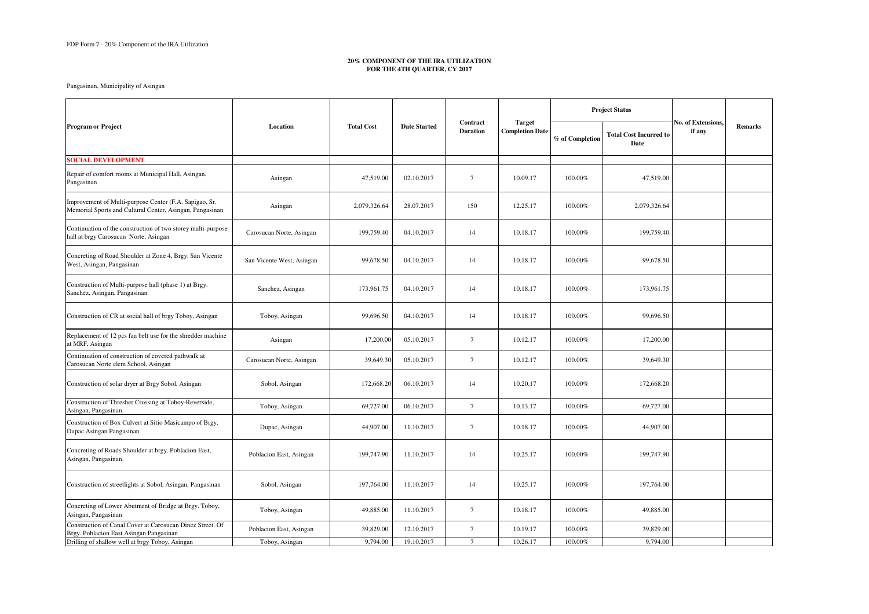|                                                                                                                    |                           |                   |                     |                             |                                         | <b>Project Status</b> |                                       |                              |                |
|--------------------------------------------------------------------------------------------------------------------|---------------------------|-------------------|---------------------|-----------------------------|-----------------------------------------|-----------------------|---------------------------------------|------------------------------|----------------|
| <b>Program or Project</b>                                                                                          | Location                  | <b>Total Cost</b> | <b>Date Started</b> | Contract<br><b>Duration</b> | <b>Target</b><br><b>Completion Date</b> | % of Completion       | <b>Total Cost Incurred to</b><br>Date | No. of Extensions.<br>if any | <b>Remarks</b> |
| <b>SOCIAL DEVELOPMENT</b>                                                                                          |                           |                   |                     |                             |                                         |                       |                                       |                              |                |
| Repair of comfort rooms at Municipal Hall, Asingan,<br>Pangasinan                                                  | Asingan                   | 47,519.00         | 02.10.2017          | $\tau$                      | 10.09.17                                | 100.00%               | 47,519.00                             |                              |                |
| Improvement of Multi-purpose Center (F.A. Sapigao, Sr.<br>Memorial Sports and Cultural Center, Asingan, Pangasinan | Asingan                   | 2,079,326.64      | 28.07.2017          | 150                         | 12.25.17                                | 100.00%               | 2,079,326.64                          |                              |                |
| Continuation of the construction of two storey multi-purpose<br>hall at brgy Carosucan Norte, Asingan              | Carosucan Norte, Asingan  | 199,759.40        | 04.10.2017          | 14                          | 10.18.17                                | 100.00%               | 199,759.40                            |                              |                |
| Concreting of Road Shoulder at Zone 4, Brgy. San Vicente<br>West, Asingan, Pangasinan                              | San Vicente West, Asingan | 99,678.50         | 04.10.2017          | 14                          | 10.18.17                                | 100.00%               | 99,678.50                             |                              |                |
| Construction of Multi-purpose hall (phase 1) at Brgy.<br>Sanchez, Asingan, Pangasinan                              | Sanchez, Asingan          | 173,961.75        | 04.10.2017          | 14                          | 10.18.17                                | 100.00%               | 173,961.75                            |                              |                |
| Construction of CR at social hall of brgy Toboy, Asingan                                                           | Toboy, Asingan            | 99,696.50         | 04.10.2017          | 14                          | 10.18.17                                | 100.00%               | 99,696.50                             |                              |                |
| Replacement of 12 pcs fan belt use for the shredder machine<br>at MRF, Asingan                                     | Asingan                   | 17,200.00         | 05.10.2017          | $\tau$                      | 10.12.17                                | 100.00%               | 17,200.00                             |                              |                |
| Continuation of construction of covered pathwalk at<br>Carosucan Norte elem School, Asingan                        | Carosucan Norte, Asingan  | 39,649.30         | 05.10.2017          | $\tau$                      | 10.12.17                                | 100.00%               | 39,649.30                             |                              |                |
| Construction of solar dryer at Brgy Sobol, Asingan                                                                 | Sobol, Asingan            | 172,668.20        | 06.10.2017          | 14                          | 10.20.17                                | 100.00%               | 172,668.20                            |                              |                |
| Construction of Thresher Crossing at Toboy-Reverside,<br>Asingan, Pangasinan.                                      | Toboy, Asingan            | 69,727.00         | 06.10.2017          | $\tau$                      | 10.13.17                                | 100.00%               | 69,727.00                             |                              |                |
| Construction of Box Culvert at Sitio Masicampo of Brgy.<br>Dupac Asingan Pangasinan                                | Dupac, Asingan            | 44,907.00         | 11.10.2017          | $\tau$                      | 10.18.17                                | $100.00\%$            | 44,907.00                             |                              |                |
| Concreting of Roads Shoulder at brgy. Poblacion East,<br>Asingan, Pangasinan.                                      | Poblacion East, Asingan   | 199,747.90        | 11.10.2017          | 14                          | 10.25.17                                | $100.00\%$            | 199,747.90                            |                              |                |
| Construction of streetlights at Sobol, Asingan, Pangasinan                                                         | Sobol, Asingan            | 197,764.00        | 11.10.2017          | 14                          | 10.25.17                                | $100.00\%$            | 197,764.00                            |                              |                |
| Concreting of Lower Abutment of Bridge at Brgy. Toboy,<br>Asingan, Pangasinan                                      | Toboy, Asingan            | 49,885.00         | 11.10.2017          | $\tau$                      | 10.18.17                                | 100.00%               | 49,885.00                             |                              |                |
| Construction of Canal Cover at Carosucan Dinez Street. Of<br>Brgy. Poblacion East Asingan Pangasinan               | Poblacion East, Asingan   | 39,829.00         | 12.10.2017          | $\tau$                      | 10.19.17                                | 100.00%               | 39,829.00                             |                              |                |
| Drilling of shallow well at brgy Toboy, Asingan                                                                    | Toboy, Asingan            | 9,794.00          | 19.10.2017          | $7\phantom{.0}$             | 10.26.17                                | $100.00\%$            | 9,794.00                              |                              |                |

## **20% COMPONENT OF THE IRA UTILIZATION FOR THE 4TH QUARTER, CY 2017**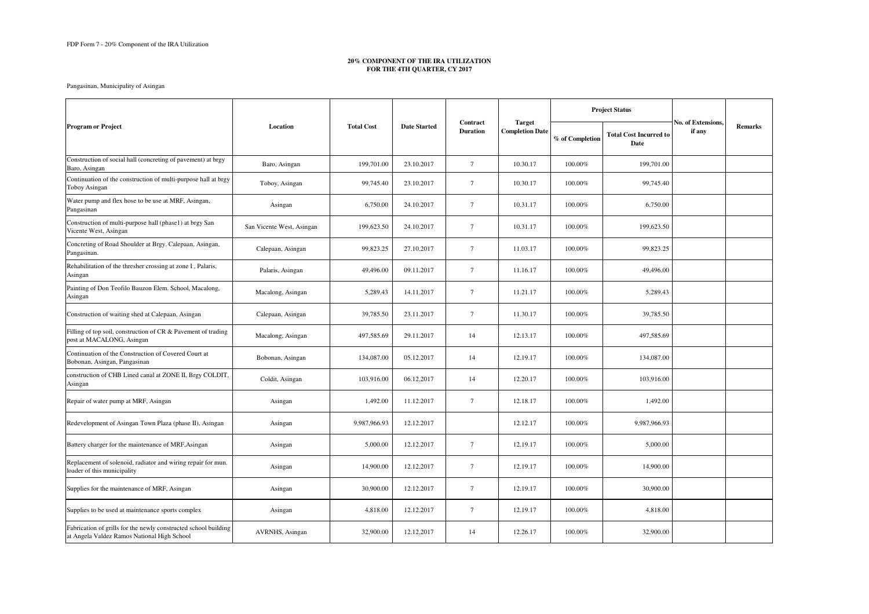## **20% COMPONENT OF THE IRA UTILIZATION FOR THE 4TH QUARTER, CY 2017**

|                                                                                                                |                           |                   |                     |                             |                                         | <b>Project Status</b> |                                       |                              |                |
|----------------------------------------------------------------------------------------------------------------|---------------------------|-------------------|---------------------|-----------------------------|-----------------------------------------|-----------------------|---------------------------------------|------------------------------|----------------|
| <b>Program or Project</b>                                                                                      | Location                  | <b>Total Cost</b> | <b>Date Started</b> | Contract<br><b>Duration</b> | <b>Target</b><br><b>Completion Date</b> | % of Completion       | <b>Total Cost Incurred to</b><br>Date | No. of Extensions,<br>if any | <b>Remarks</b> |
| Construction of social hall (concreting of pavement) at brgy<br>Baro, Asingan                                  | Baro, Asingan             | 199,701.00        | 23.10.2017          | $\tau$                      | 10.30.17                                | 100.00%               | 199,701.00                            |                              |                |
| Continuation of the construction of multi-purpose hall at brgy<br>Toboy Asingan                                | Toboy, Asingan            | 99,745.40         | 23.10.2017          | $7\phantom{.0}$             | 10.30.17                                | 100.00%               | 99,745.40                             |                              |                |
| Water pump and flex hose to be use at MRF, Asingan,<br>Pangasinan                                              | Asingan                   | 6,750.00          | 24.10.2017          | $7\phantom{.0}$             | 10.31.17                                | 100.00%               | 6,750.00                              |                              |                |
| Construction of multi-purpose hall (phase1) at brgy San<br>Vicente West, Asingan                               | San Vicente West, Asingan | 199,623.50        | 24.10.2017          | $\tau$                      | 10.31.17                                | 100.00%               | 199,623.50                            |                              |                |
| Concreting of Road Shoulder at Brgy. Calepaan, Asingan,<br>Pangasinan.                                         | Calepaan, Asingan         | 99,823.25         | 27.10.2017          | $\tau$                      | 11.03.17                                | 100.00%               | 99,823.25                             |                              |                |
| Rehabilitation of the thresher crossing at zone I, Palaris,<br>Asingan                                         | Palaris, Asingan          | 49,496.00         | 09.11.2017          | $\tau$                      | 11.16.17                                | 100.00%               | 49,496.00                             |                              |                |
| Painting of Don Teofilo Bauzon Elem. School, Macalong,<br>Asingan                                              | Macalong, Asingan         | 5,289.43          | 14.11.2017          | $7\phantom{.0}$             | 11.21.17                                | 100.00%               | 5,289.43                              |                              |                |
| Construction of waiting shed at Calepaan, Asingan                                                              | Calepaan, Asingan         | 39,785.50         | 23.11.2017          | $7\phantom{.0}$             | 11.30.17                                | 100.00%               | 39,785.50                             |                              |                |
| Filling of top soil, construction of CR & Pavement of trading<br>post at MACALONG, Asingan                     | Macalong, Asingan         | 497,585.69        | 29.11.2017          | 14                          | 12.13.17                                | 100.00%               | 497,585.69                            |                              |                |
| Continuation of the Construction of Covered Court at<br>Bobonan, Asingan, Pangasinan                           | Bobonan, Asingan          | 134,087.00        | 05.12.2017          | 14                          | 12.19.17                                | 100.00%               | 134,087.00                            |                              |                |
| construction of CHB Lined canal at ZONE II, Brgy COLDIT,<br>Asingan                                            | Coldit, Asingan           | 103,916.00        | 06.12.2017          | 14                          | 12.20.17                                | 100.00%               | 103,916.00                            |                              |                |
| Repair of water pump at MRF, Asingan                                                                           | Asingan                   | 1,492.00          | 11.12.2017          | $7\phantom{.0}$             | 12.18.17                                | 100.00%               | 1,492.00                              |                              |                |
| Redevelopment of Asingan Town Plaza (phase II), Asingan                                                        | Asingan                   | 9,987,966.93      | 12.12.2017          |                             | 12.12.17                                | 100.00%               | 9,987,966.93                          |                              |                |
| Battery charger for the maintenance of MRF, Asingan                                                            | Asingan                   | 5,000.00          | 12.12.2017          | $\tau$                      | 12.19.17                                | $100.00\%$            | 5,000.00                              |                              |                |
| Replacement of solenoid, radiator and wiring repair for mun.<br>loader of this municipality                    | Asingan                   | 14,900.00         | 12.12.2017          | $7\phantom{.0}$             | 12.19.17                                | $100.00\%$            | 14,900.00                             |                              |                |
| Supplies for the maintenance of MRF, Asingan                                                                   | Asingan                   | 30,900.00         | 12.12.2017          | $\tau$                      | 12.19.17                                | 100.00%               | 30,900.00                             |                              |                |
| Supplies to be used at maintenance sports complex                                                              | Asingan                   | 4,818.00          | 12.12.2017          | $\tau$                      | 12.19.17                                | 100.00%               | 4,818.00                              |                              |                |
| Fabrication of grills for the newly constructed school building<br>at Angela Valdez Ramos National High School | AVRNHS, Asingan           | 32,900.00         | 12.12.2017          | 14                          | 12.26.17                                | 100.00%               | 32,900.00                             |                              |                |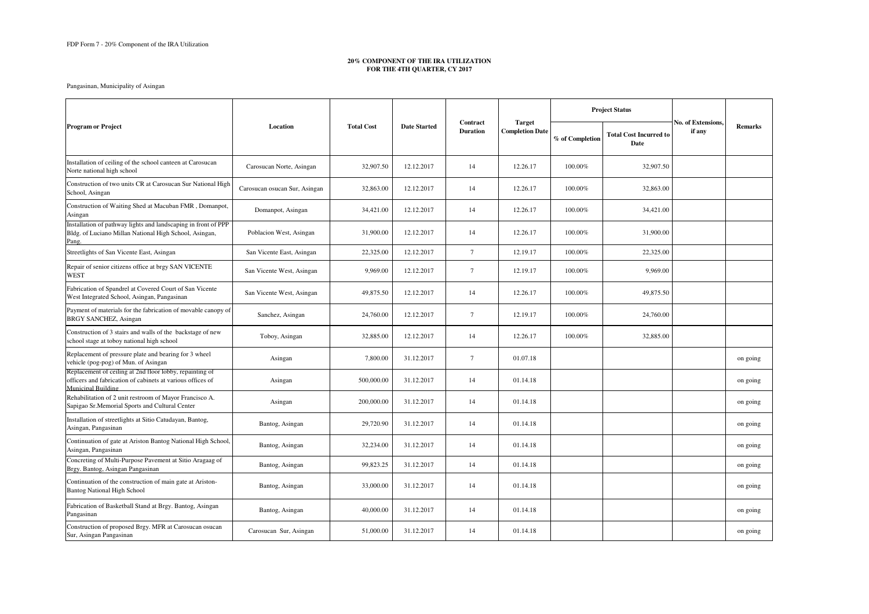## **20% COMPONENT OF THE IRA UTILIZATION FOR THE 4TH QUARTER, CY 2017**

|                                                                                                                                                     |                               |                   |                     |                             |                                         | <b>Project Status</b> |                                       | <b>No. of Extensions.</b> |                |
|-----------------------------------------------------------------------------------------------------------------------------------------------------|-------------------------------|-------------------|---------------------|-----------------------------|-----------------------------------------|-----------------------|---------------------------------------|---------------------------|----------------|
| <b>Program or Project</b>                                                                                                                           | Location                      | <b>Total Cost</b> | <b>Date Started</b> | Contract<br><b>Duration</b> | <b>Target</b><br><b>Completion Date</b> | % of Completion       | <b>Total Cost Incurred to</b><br>Date | if any                    | <b>Remarks</b> |
| Installation of ceiling of the school canteen at Carosucan<br>Norte national high school                                                            | Carosucan Norte, Asingan      | 32,907.50         | 12.12.2017          | 14                          | 12.26.17                                | 100.00%               | 32,907.50                             |                           |                |
| Construction of two units CR at Carosucan Sur National High<br>School, Asingan                                                                      | Carosucan osucan Sur, Asingan | 32,863.00         | 12.12.2017          | 14                          | 12.26.17                                | 100.00%               | 32,863.00                             |                           |                |
| Construction of Waiting Shed at Macuban FMR, Domanpot,<br>Asingan                                                                                   | Domanpot, Asingan             | 34,421.00         | 12.12.2017          | 14                          | 12.26.17                                | 100.00%               | 34,421.00                             |                           |                |
| Installation of pathway lights and landscaping in front of PPP<br>Bldg. of Luciano Millan National High School, Asingan,<br>Pang.                   | Poblacion West, Asingan       | 31,900.00         | 12.12.2017          | 14                          | 12.26.17                                | 100.00%               | 31,900.00                             |                           |                |
| Streetlights of San Vicente East, Asingan                                                                                                           | San Vicente East, Asingan     | 22,325.00         | 12.12.2017          | 7                           | 12.19.17                                | 100.00%               | 22,325.00                             |                           |                |
| Repair of senior citizens office at brgy SAN VICENTE<br><b>WEST</b>                                                                                 | San Vicente West, Asingan     | 9,969.00          | 12.12.2017          | 7                           | 12.19.17                                | 100.00%               | 9,969.00                              |                           |                |
| Fabrication of Spandrel at Covered Court of San Vicente<br>West Integrated School, Asingan, Pangasinan                                              | San Vicente West, Asingan     | 49,875.50         | 12.12.2017          | 14                          | 12.26.17                                | 100.00%               | 49,875.50                             |                           |                |
| Payment of materials for the fabrication of movable canopy of<br><b>BRGY SANCHEZ, Asingan</b>                                                       | Sanchez, Asingan              | 24,760.00         | 12.12.2017          | 7                           | 12.19.17                                | 100.00%               | 24,760.00                             |                           |                |
| Construction of 3 stairs and walls of the backstage of new<br>school stage at toboy national high school                                            | Toboy, Asingan                | 32,885.00         | 12.12.2017          | 14                          | 12.26.17                                | 100.00%               | 32,885.00                             |                           |                |
| Replacement of pressure plate and bearing for 3 wheel<br>vehicle (pog-pog) of Mun. of Asingan                                                       | Asingan                       | 7,800.00          | 31.12.2017          | $7\phantom{.0}$             | 01.07.18                                |                       |                                       |                           | on going       |
| Replacement of ceiling at 2nd floor lobby, repainting of<br>officers and fabrication of cabinets at various offices of<br><b>Municipal Building</b> | Asingan                       | 500,000.00        | 31.12.2017          | 14                          | 01.14.18                                |                       |                                       |                           | on going       |
| Rehabilitation of 2 unit restroom of Mayor Francisco A.<br>Sapigao Sr.Memorial Sports and Cultural Center                                           | Asingan                       | 200,000.00        | 31.12.2017          | 14                          | 01.14.18                                |                       |                                       |                           | on going       |
| Installation of streetlights at Sitio Catudayan, Bantog,<br>Asingan, Pangasinan                                                                     | Bantog, Asingan               | 29,720.90         | 31.12.2017          | 14                          | 01.14.18                                |                       |                                       |                           | on going       |
| Continuation of gate at Ariston Bantog National High School,<br>Asingan, Pangasinan                                                                 | Bantog, Asingan               | 32,234.00         | 31.12.2017          | 14                          | 01.14.18                                |                       |                                       |                           | on going       |
| Concreting of Multi-Purpose Pavement at Sitio Aragaag of<br>Brgy. Bantog, Asingan Pangasinan                                                        | Bantog, Asingan               | 99,823.25         | 31.12.2017          | 14                          | 01.14.18                                |                       |                                       |                           | on going       |
| Continuation of the construction of main gate at Ariston-<br><b>Bantog National High School</b>                                                     | Bantog, Asingan               | 33,000.00         | 31.12.2017          | 14                          | 01.14.18                                |                       |                                       |                           | on going       |
| Fabrication of Basketball Stand at Brgy. Bantog, Asingan<br>Pangasinan                                                                              | Bantog, Asingan               | 40,000.00         | 31.12.2017          | 14                          | 01.14.18                                |                       |                                       |                           | on going       |
| Construction of proposed Brgy. MFR at Carosucan osucan<br>Sur, Asingan Pangasinan                                                                   | Carosucan Sur, Asingan        | 51,000.00         | 31.12.2017          | 14                          | 01.14.18                                |                       |                                       |                           | on going       |